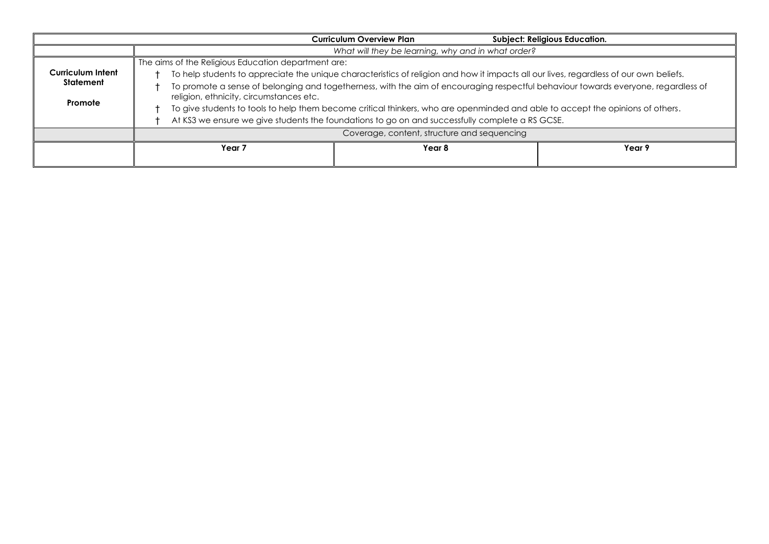|                   |                                                                                                                                                                               | <b>Curriculum Overview Plan</b> | <b>Subject: Religious Education.</b> |  |  |
|-------------------|-------------------------------------------------------------------------------------------------------------------------------------------------------------------------------|---------------------------------|--------------------------------------|--|--|
|                   | What will they be learning, why and in what order?                                                                                                                            |                                 |                                      |  |  |
|                   |                                                                                                                                                                               |                                 |                                      |  |  |
| Curriculum Intent | To help students to appreciate the unique characteristics of religion and how it impacts all our lives, regardless of our own beliefs.                                        |                                 |                                      |  |  |
| Statement         | To promote a sense of belonging and togetherness, with the aim of encouraging respectful behaviour towards everyone, regardless of<br>religion, ethnicity, circumstances etc. |                                 |                                      |  |  |
| Promote           | To give students to tools to help them become critical thinkers, who are openminded and able to accept the opinions of others.                                                |                                 |                                      |  |  |
|                   | At KS3 we ensure we give students the foundations to go on and successfully complete a RS GCSE.                                                                               |                                 |                                      |  |  |
|                   | Coverage, content, structure and sequencing                                                                                                                                   |                                 |                                      |  |  |
|                   | Year 7                                                                                                                                                                        | Year 8                          | Year 9                               |  |  |
|                   |                                                                                                                                                                               |                                 |                                      |  |  |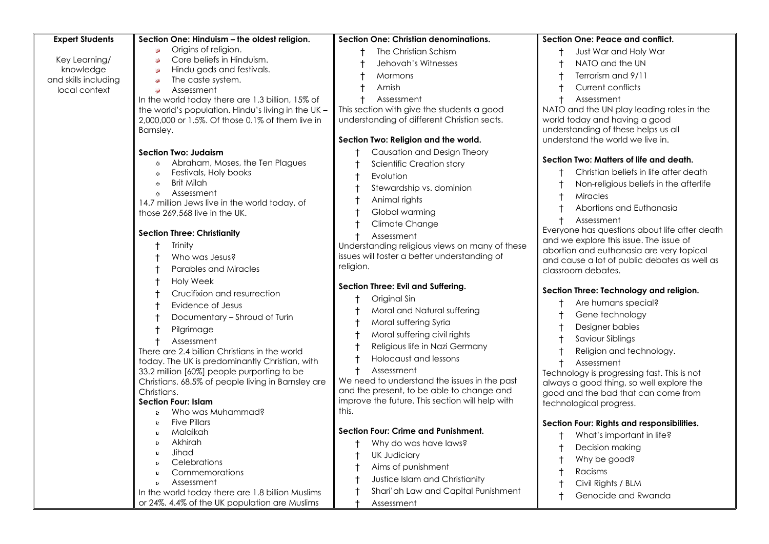| <b>Expert Students</b>                | Section One: Hinduism - the oldest religion.                                   | Section One: Christian denominations.           | Section One: Peace and conflict.                                                |
|---------------------------------------|--------------------------------------------------------------------------------|-------------------------------------------------|---------------------------------------------------------------------------------|
|                                       | Origins of religion.<br>96                                                     | The Christian Schism                            | Just War and Holy War                                                           |
| Key Learning/                         | Core beliefs in Hinduism.<br>36                                                | Jehovah's Witnesses                             | NATO and the UN                                                                 |
| knowledge                             | Hindu gods and festivals.<br>$$^{b}$                                           | Mormons                                         | Terrorism and 9/11                                                              |
| and skills including<br>local context | The caste system.<br>$\mathfrak{S}$<br>Assessment                              | Amish                                           | Current conflicts                                                               |
|                                       | In the world today there are 1.3 billion, 15% of                               | Assessment                                      | Assessment                                                                      |
|                                       | the world's population. Hindu's living in the UK -                             | This section with give the students a good      | NATO and the UN play leading roles in the                                       |
|                                       | 2,000,000 or 1.5%. Of those 0.1% of them live in                               | understanding of different Christian sects.     | world today and having a good                                                   |
|                                       | Barnsley.                                                                      |                                                 | understanding of these helps us all                                             |
|                                       |                                                                                | Section Two: Religion and the world.            | understand the world we live in.                                                |
|                                       |                                                                                |                                                 |                                                                                 |
|                                       | <b>Section Two: Judaism</b>                                                    | Causation and Design Theory                     | Section Two: Matters of life and death.                                         |
|                                       | Abraham, Moses, the Ten Plagues<br>$\langle \rangle$                           | Scientific Creation story                       | Christian beliefs in life after death                                           |
|                                       | Festivals, Holy books<br>XX.                                                   | Evolution                                       |                                                                                 |
|                                       | <b>Brit Milah</b><br>$\mathcal{L}_{\mathcal{F}}$                               | Stewardship vs. dominion                        | Non-religious beliefs in the afterlife                                          |
|                                       | Assessment<br>☆                                                                | Animal rights                                   | <b>Miracles</b>                                                                 |
|                                       | 14.7 million Jews live in the world today, of<br>those 269,568 live in the UK. | Global warming                                  | Abortions and Euthanasia                                                        |
|                                       |                                                                                |                                                 | Assessment                                                                      |
|                                       | <b>Section Three: Christianity</b>                                             | Climate Change                                  | Everyone has questions about life after death                                   |
|                                       |                                                                                | Assessment                                      | and we explore this issue. The issue of                                         |
|                                       | Trinity                                                                        | Understanding religious views on many of these  | abortion and euthanasia are very topical                                        |
|                                       | Who was Jesus?                                                                 | issues will foster a better understanding of    | and cause a lot of public debates as well as                                    |
|                                       | Parables and Miracles                                                          | religion.                                       | classroom debates.                                                              |
|                                       | Holy Week                                                                      |                                                 |                                                                                 |
|                                       | Crucifixion and resurrection                                                   | Section Three: Evil and Suffering.              | Section Three: Technology and religion.                                         |
|                                       | Evidence of Jesus                                                              | Original Sin                                    | Are humans special?                                                             |
|                                       | Documentary - Shroud of Turin                                                  | Moral and Natural suffering                     | Gene technology                                                                 |
|                                       | Pilgrimage                                                                     | Moral suffering Syria                           | Designer babies                                                                 |
|                                       |                                                                                | Moral suffering civil rights                    | Saviour Siblings                                                                |
|                                       | Assessment<br>There are 2.4 billion Christians in the world                    | Religious life in Nazi Germany                  | Religion and technology.                                                        |
|                                       | today. The UK is predominantly Christian, with                                 | <b>Holocaust and lessons</b>                    |                                                                                 |
|                                       | 33.2 million [60%] people purporting to be                                     | Assessment                                      | Assessment                                                                      |
|                                       | Christians. 68.5% of people living in Barnsley are                             | We need to understand the issues in the past    | Technology is progressing fast. This is not                                     |
|                                       | Christians.                                                                    | and the present, to be able to change and       | always a good thing, so well explore the<br>good and the bad that can come from |
|                                       | <b>Section Four: Islam</b>                                                     | improve the future. This section will help with | technological progress.                                                         |
|                                       | Who was Muhammad?<br>$\mathbf{c}$                                              | this.                                           |                                                                                 |
|                                       | <b>Five Pillars</b><br>$\bullet$                                               |                                                 | Section Four: Rights and responsibilities.                                      |
|                                       | Malaikah<br>e.                                                                 | <b>Section Four: Crime and Punishment.</b>      |                                                                                 |
|                                       | Akhirah<br>¢.                                                                  | Why do was have laws?                           | What's important in life?                                                       |
|                                       | Jihad                                                                          | <b>UK Judiciary</b>                             | Decision making                                                                 |
|                                       | Celebrations                                                                   |                                                 | Why be good?                                                                    |
|                                       | Commemorations                                                                 | Aims of punishment                              | Racisms                                                                         |
|                                       | Assessment<br>e.                                                               | Justice Islam and Christianity                  | Civil Rights / BLM                                                              |
|                                       | In the world today there are 1.8 billion Muslims                               | Shari'ah Law and Capital Punishment             | Genocide and Rwanda                                                             |
|                                       | or 24%. 4.4% of the UK population are Muslims                                  | Assessment                                      |                                                                                 |